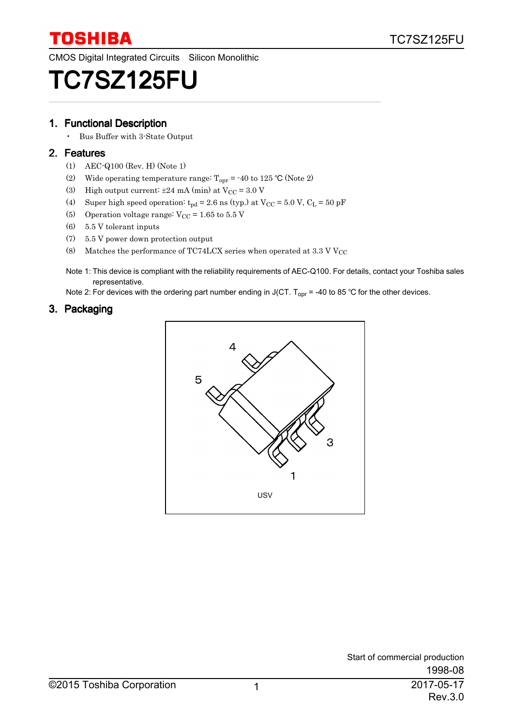CMOS Digital Integrated Circuits Silicon Monolithic

# TC7SZ125FU

#### 1. Functional Description

• Bus Buffer with 3-State Output

#### 2. Features

- (1) AEC-Q100 (Rev. H) (Note 1)
- (2) Wide operating temperature range:  $T_{\text{opr}} = -40$  to 125 °C (Note 2)
- (3) High output current:  $\pm 24$  mA (min) at  $V_{\text{CC}} = 3.0$  V
- (4) Super high speed operation:  $t_{pd} = 2.6$  ns (typ.) at  $V_{CC} = 5.0$  V,  $C_L = 50$  pF
- (5) Operation voltage range:  $V_{CC} = 1.65$  to  $5.5$  V
- (6) 5.5 V tolerant inputs
- (7) 5.5 V power down protection output
- (8) Matches the performance of TC74LCX series when operated at 3.3 V  $V_{CC}$
- Note 1: This device is compliant with the reliability requirements of AEC-Q100. For details, contact your Toshiba sales representative.

Note 2: For devices with the ordering part number ending in J(CT. T<sub>opr</sub> = -40 to 85 °C for the other devices.

#### 3. Packaging

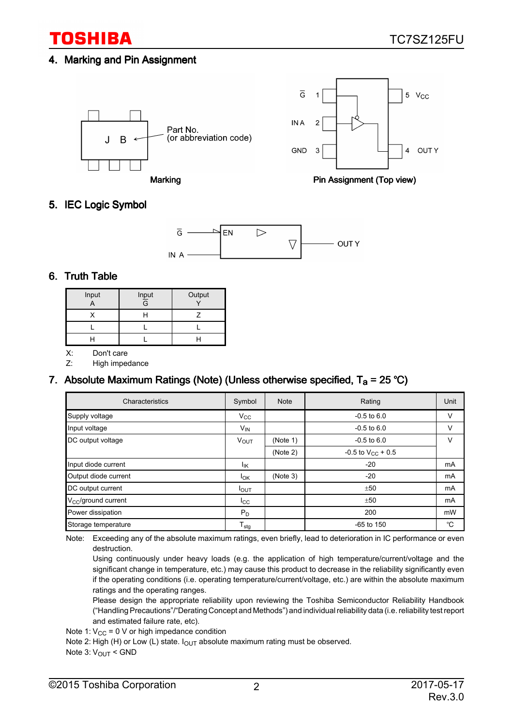# TOSHIBA

# 4. Marking and Pin Assignment



#### 5. IEC Logic Symbol



### 6. Truth Table

| Input | $\frac{Input}{G}$ | Output |
|-------|-------------------|--------|
|       |                   |        |
|       |                   |        |
|       |                   |        |

X: Don't care

Z: High impedance

# 7. Absolute Maximum Ratings (Note) (Unless otherwise specified,  $T_a$  = 25 °C)

| Characteristics              | Symbol           | <b>Note</b>                 | Rating                   | Unit   |
|------------------------------|------------------|-----------------------------|--------------------------|--------|
| Supply voltage               | $V_{\rm CC}$     |                             | $-0.5$ to $6.0$          | $\vee$ |
| Input voltage                | $V_{IN}$         |                             | $-0.5$ to $6.0$          | $\vee$ |
| DC output voltage            | <b>VOUT</b>      | (Note 1)<br>$-0.5$ to $6.0$ |                          | V      |
|                              |                  | (Note 2)                    | $-0.5$ to $V_{CC}$ + 0.5 |        |
| Input diode current          | Ιĸ               |                             | $-20$                    | mA     |
| Output diode current         | $I_{OK}$         | (Note 3)                    | $-20$                    | mA     |
| DC output current            | $I_{\text{OUT}}$ |                             | ±50                      | mA     |
| $V_{\rm CC}$ /ground current | $I_{\rm CC}$     |                             | ±50                      | mA     |
| Power dissipation            | $P_D$            |                             | 200                      | mW     |
| Storage temperature          | $T_{\text{stg}}$ |                             | $-65$ to 150             | °C     |

Note: Exceeding any of the absolute maximum ratings, even briefly, lead to deterioration in IC performance or even destruction.

Using continuously under heavy loads (e.g. the application of high temperature/current/voltage and the significant change in temperature, etc.) may cause this product to decrease in the reliability significantly even if the operating conditions (i.e. operating temperature/current/voltage, etc.) are within the absolute maximum ratings and the operating ranges.

Please design the appropriate reliability upon reviewing the Toshiba Semiconductor Reliability Handbook ("Handling Precautions"/"Derating Concept and Methods") and individual reliability data (i.e. reliability test report and estimated failure rate, etc).

Note 1:  $\rm V_{CC}$  = 0 V or high impedance condition

Note 2: High (H) or Low (L) state.  $I_{\text{OUT}}$  absolute maximum rating must be observed.

Note 3: V<sub>OUT</sub> < GND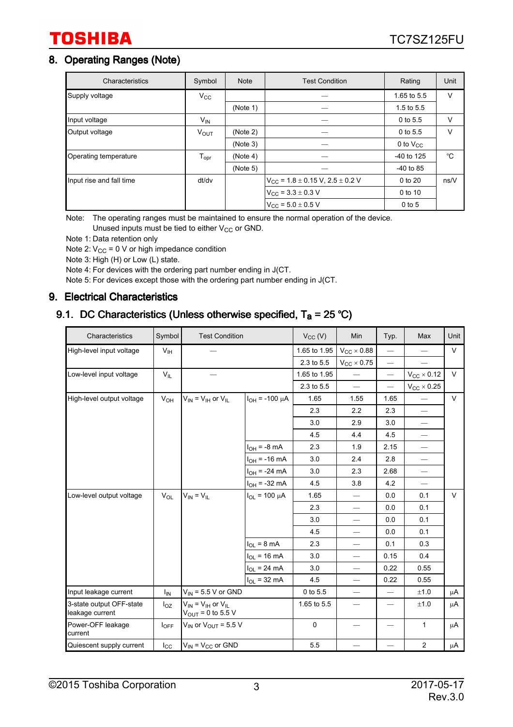# **TOSHIBA**

# 8. Operating Ranges (Note)

| Characteristics          | Symbol                       | <b>Note</b> | <b>Test Condition</b>                            | Rating        | Unit   |
|--------------------------|------------------------------|-------------|--------------------------------------------------|---------------|--------|
| Supply voltage           | $V_{\rm CC}$                 |             |                                                  | 1.65 to 5.5   | V      |
|                          |                              | (Note 1)    |                                                  | 1.5 to $5.5$  |        |
| Input voltage            | $V_{IN}$                     |             |                                                  | 0 to 5.5      | V      |
| Output voltage           | V <sub>OUT</sub>             | (Note 2)    |                                                  | 0 to 5.5      | $\vee$ |
|                          |                              | (Note 3)    |                                                  | 0 to $V_{CC}$ |        |
| Operating temperature    | ${\mathsf T}_{\textsf{opr}}$ | (Note 4)    |                                                  | -40 to 125    | °C     |
|                          |                              | (Note 5)    |                                                  | $-40$ to 85   |        |
| Input rise and fall time | dt/dv                        |             | $V_{\rm CC}$ = 1.8 $\pm$ 0.15 V, 2.5 $\pm$ 0.2 V | 0 to 20       | ns/V   |
|                          |                              |             | $V_{\text{CC}}$ = 3.3 $\pm$ 0.3 V                | 0 to 10       |        |
|                          |                              |             | $V_{CC}$ = 5.0 $\pm$ 0.5 V                       | $0$ to 5      |        |

Note: The operating ranges must be maintained to ensure the normal operation of the device. Unused inputs must be tied to either  $V_{CC}$  or GND.

Note 1: Data retention only

Note 2:  $V_{CC}$  = 0 V or high impedance condition

Note 3: High (H) or Low (L) state.

Note 4: For devices with the ordering part number ending in J(CT.

Note 5: For devices except those with the ordering part number ending in J(CT.

#### 9. Electrical Characteristics

# 9.1. DC Characteristics (Unless otherwise specified,  $T_a = 25 °C$ )

| Characteristics                             | Symbol           | <b>Test Condition</b>                                     |                        | $V_{CC}$ (V) | Min                            | Typ.                         | Max                      | Unit   |
|---------------------------------------------|------------------|-----------------------------------------------------------|------------------------|--------------|--------------------------------|------------------------------|--------------------------|--------|
| High-level input voltage                    | $V_{\text{IH}}$  |                                                           |                        | 1.65 to 1.95 | $V_{CC}$ $\times$ 0.88         |                              |                          | $\vee$ |
|                                             |                  |                                                           |                        | 2.3 to 5.5   | $V_{CC}$ $\times$ 0.75         | $\overline{\phantom{0}}$     |                          |        |
| Low-level input voltage                     | $V_{IL}$         |                                                           |                        | 1.65 to 1.95 |                                |                              | $V_{CC}$ $\times$ 0.12   | V      |
|                                             |                  |                                                           |                        | 2.3 to 5.5   | $\overline{\phantom{0}}$       | $\overline{\phantom{0}}$     | $V_{CC}$ $\times$ 0.25   |        |
| High-level output voltage                   | $V_{OH}$         | $V_{IN} = V_{IH}$ or $V_{IL}$                             | $I_{OH}$ = -100 µA     | 1.65         | 1.55                           | 1.65                         |                          | $\vee$ |
|                                             |                  |                                                           |                        | 2.3          | 2.2                            | 2.3                          |                          |        |
|                                             |                  |                                                           |                        | 3.0          | 2.9                            | 3.0                          | $\equiv$                 |        |
|                                             |                  |                                                           |                        | 4.5          | 4.4                            | 4.5                          | $\overline{\phantom{0}}$ |        |
|                                             |                  |                                                           | $I_{OH}$ = -8 mA       | 2.3          | 1.9                            | 2.15                         | $\overline{\phantom{0}}$ |        |
|                                             |                  |                                                           | $I_{OH}$ = -16 mA      | 3.0          | 2.4                            | 2.8                          |                          |        |
|                                             |                  |                                                           | $I_{OH}$ = -24 mA      | 3.0          | 2.3                            | 2.68                         |                          |        |
|                                             |                  |                                                           | $I_{OH} = -32$ mA      | 4.5          | 3.8                            | 4.2                          |                          |        |
| Low-level output voltage                    | $V_{OL}$         | $V_{IN} = V_{IL}$                                         | $I_{OL}$ = 100 $\mu$ A | 1.65         | $\overline{\phantom{0}}$       | 0.0                          | 0.1                      | $\vee$ |
|                                             |                  |                                                           |                        | 2.3          | $\qquad \qquad \longleftarrow$ | 0.0                          | 0.1                      |        |
|                                             |                  |                                                           |                        | 3.0          | $\qquad \qquad -$              | 0.0                          | 0.1                      |        |
|                                             |                  |                                                           |                        | 4.5          | $\overline{\phantom{0}}$       | 0.0                          | 0.1                      |        |
|                                             |                  |                                                           | $I_{OL}$ = 8 mA        | 2.3          | $\overline{\phantom{0}}$       | 0.1                          | 0.3                      |        |
|                                             |                  |                                                           | $I_{OL}$ = 16 mA       | 3.0          |                                | 0.15                         | 0.4                      |        |
|                                             |                  |                                                           | $I_{OL}$ = 24 mA       | 3.0          | $\overline{\phantom{0}}$       | 0.22                         | 0.55                     |        |
|                                             |                  |                                                           | $I_{OL}$ = 32 mA       | 4.5          |                                | 0.22                         | 0.55                     |        |
| Input leakage current                       | I <sub>IN</sub>  | $V_{IN}$ = 5.5 V or GND                                   |                        | 0 to 5.5     | $\overline{\phantom{0}}$       |                              | ±1.0                     | μA     |
| 3-state output OFF-state<br>leakage current | $I_{OZ}$         | $V_{IN}$ = $V_{IH}$ or $V_{IL}$<br>$V_{OUT} = 0$ to 5.5 V |                        | 1.65 to 5.5  |                                | $\overbrace{\qquad \qquad }$ | ±1.0                     | μA     |
| Power-OFF leakage<br>current                | $I_{\text{OFF}}$ | $V_{IN}$ or $V_{OUT}$ = 5.5 V                             |                        | $\mathbf 0$  |                                |                              | 1                        | μA     |
| Quiescent supply current                    | $I_{\rm CC}$     | $V_{IN}$ = $V_{CC}$ or GND                                |                        | 5.5          |                                |                              | $\overline{2}$           | μA     |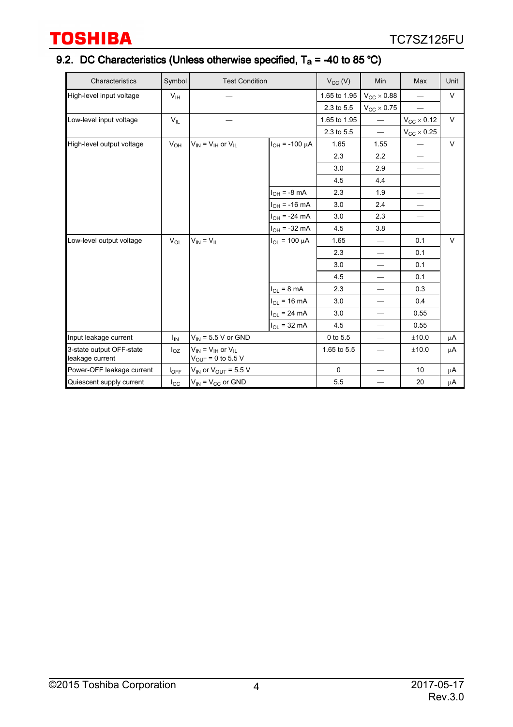# 9.2. DC Characteristics (Unless otherwise specified,  $T_a$  = -40 to 85 °C)

| Characteristics                             | Symbol           | <b>Test Condition</b>                                   |                        | $V_{CC}$ (V) | Min                      | Max                            | Unit   |
|---------------------------------------------|------------------|---------------------------------------------------------|------------------------|--------------|--------------------------|--------------------------------|--------|
| High-level input voltage                    | $V_{\text{IH}}$  |                                                         |                        | 1.65 to 1.95 | $V_{CC}$ $\times$ 0.88   |                                | $\vee$ |
|                                             |                  |                                                         |                        | 2.3 to 5.5   | $V_{CC}$ $\times$ 0.75   | $\overline{\phantom{0}}$       |        |
| Low-level input voltage                     | $V_{IL}$         |                                                         |                        | 1.65 to 1.95 |                          | $V_{CC}$ $\times$ 0.12         | $\vee$ |
|                                             |                  |                                                         |                        | 2.3 to 5.5   |                          | $V_{\text{CC}} \times 0.25$    |        |
| High-level output voltage                   | $V_{OH}$         | $V_{IN} = V_{IH}$ or $V_{IL}$                           | $I_{OH}$ = -100 µA     | 1.65         | 1.55                     |                                | $\vee$ |
|                                             |                  |                                                         |                        | 2.3          | 2.2                      |                                |        |
|                                             |                  |                                                         |                        | 3.0          | 2.9                      | $\qquad \qquad \longleftarrow$ |        |
|                                             |                  |                                                         |                        | 4.5          | 4.4                      |                                |        |
|                                             |                  |                                                         | $I_{OH}$ = -8 mA       | 2.3          | 1.9                      | $\qquad \qquad -$              |        |
|                                             |                  |                                                         | $I_{OH}$ = -16 mA      | 3.0          | 2.4                      | $\overline{\phantom{0}}$       |        |
|                                             |                  |                                                         | $I_{OH}$ = -24 mA      | 3.0          | 2.3                      | $\overline{\phantom{0}}$       |        |
|                                             |                  |                                                         | $I_{OH}$ = -32 mA      | 4.5          | 3.8                      | $\qquad \qquad -$              |        |
| Low-level output voltage                    | $V_{OL}$         | $V_{IN} = V_{IL}$                                       | $I_{OL}$ = 100 $\mu$ A | 1.65         | $\overline{\phantom{0}}$ | 0.1                            | $\vee$ |
|                                             |                  |                                                         |                        | 2.3          |                          | 0.1                            |        |
|                                             |                  |                                                         |                        | 3.0          |                          | 0.1                            |        |
|                                             |                  |                                                         |                        | 4.5          |                          | 0.1                            |        |
|                                             |                  |                                                         | $I_{OL}$ = 8 mA        | 2.3          | $\qquad \qquad$          | 0.3                            |        |
|                                             |                  |                                                         | $I_{OL}$ = 16 mA       | 3.0          | $\overline{\phantom{0}}$ | 0.4                            |        |
|                                             |                  |                                                         | $I_{OL}$ = 24 mA       | 3.0          |                          | 0.55                           |        |
|                                             |                  |                                                         | $I_{OL}$ = 32 mA       | 4.5          | $\overline{\phantom{0}}$ | 0.55                           |        |
| Input leakage current                       | $I_{IN}$         | $V_{IN}$ = 5.5 V or GND                                 |                        | 0 to 5.5     | $\overline{\phantom{0}}$ | ±10.0                          | μA     |
| 3-state output OFF-state<br>leakage current | $I_{OZ}$         | $V_{IN} = V_{IH}$ or $V_{IL}$<br>$V_{OUT}$ = 0 to 5.5 V |                        | 1.65 to 5.5  | $\qquad \qquad -$        | ±10.0                          | μA     |
| Power-OFF leakage current                   | $I_{\text{OFF}}$ | $V_{IN}$ or $V_{OUT}$ = 5.5 V                           |                        | $\mathbf 0$  | $\overline{\phantom{0}}$ | 10                             | μA     |
| Quiescent supply current                    | $I_{\rm CC}$     | $V_{IN}$ = $V_{CC}$ or GND                              |                        | 5.5          |                          | 20                             | μA     |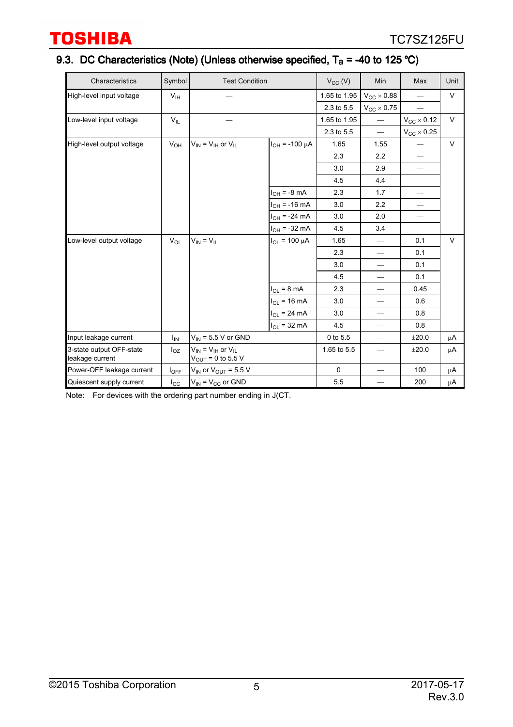# 9.3. DC Characteristics (Note) (Unless otherwise specified,  $T_a$  = -40 to 125 °C)

| Characteristics                             | Symbol           | <b>Test Condition</b>                                                               |                        | $V_{CC}$ (V) | Min                             | Max                         | Unit   |
|---------------------------------------------|------------------|-------------------------------------------------------------------------------------|------------------------|--------------|---------------------------------|-----------------------------|--------|
| High-level input voltage                    | V <sub>IH</sub>  |                                                                                     |                        | 1.65 to 1.95 | $V_{CC}$ $\times$ 0.88          |                             | V      |
|                                             |                  |                                                                                     |                        | 2.3 to 5.5   | $V_{CC}$ $\times$ 0.75          |                             |        |
| Low-level input voltage                     | $V_{IL}$         |                                                                                     |                        | 1.65 to 1.95 | $\overline{\phantom{0}}$        | $V_{CC}$ $\times$ 0.12      | $\vee$ |
|                                             |                  |                                                                                     |                        | 2.3 to 5.5   | $\overline{\phantom{0}}$        | $V_{\text{CC}} \times 0.25$ |        |
| High-level output voltage                   | $V_{OH}$         | $V_{IN} = V_{IH}$ or $V_{IL}$                                                       | $I_{OH}$ = -100 µA     | 1.65         | 1.55                            |                             | $\vee$ |
|                                             |                  |                                                                                     |                        | 2.3          | 2.2                             | $\qquad \qquad -$           |        |
|                                             |                  |                                                                                     |                        | 3.0          | 2.9                             |                             |        |
|                                             |                  |                                                                                     |                        | 4.5          | 4.4                             |                             |        |
|                                             |                  |                                                                                     | $I_{OH} = -8$ mA       | 2.3          | 1.7                             | $\overline{\phantom{0}}$    |        |
|                                             |                  |                                                                                     | $I_{OH}$ = -16 mA      | 3.0          | 2.2                             | $\qquad \qquad -$           |        |
|                                             |                  |                                                                                     | $I_{OH}$ = -24 mA      | 3.0          | 2.0                             | $\qquad \qquad$             |        |
|                                             |                  |                                                                                     | $I_{OH}$ = -32 mA      | 4.5          | 3.4                             | $\qquad \qquad -$           |        |
| Low-level output voltage                    | $V_{\Omega L}$   | $V_{IN} = V_{IL}$                                                                   | $I_{OL}$ = 100 $\mu$ A | 1.65         |                                 | 0.1                         | $\vee$ |
|                                             |                  |                                                                                     |                        | 2.3          |                                 | 0.1                         |        |
|                                             |                  |                                                                                     |                        | 3.0          | $\overbrace{\qquad \qquad }^{}$ | 0.1                         |        |
|                                             |                  |                                                                                     |                        | 4.5          |                                 | 0.1                         |        |
|                                             |                  |                                                                                     | $I_{OL}$ = 8 mA        | 2.3          |                                 | 0.45                        |        |
|                                             |                  |                                                                                     | $I_{OL}$ = 16 mA       | 3.0          | $\overline{\phantom{0}}$        | 0.6                         |        |
|                                             |                  |                                                                                     | $I_{OL}$ = 24 mA       | 3.0          | $\overline{\phantom{0}}$        | 0.8                         |        |
|                                             |                  |                                                                                     | $I_{OL}$ = 32 mA       | 4.5          | $\overline{\phantom{0}}$        | 0.8                         |        |
| Input leakage current                       | $I_{IN}$         | $V_{\text{IN}}$ = 5.5 V or GND                                                      |                        | 0 to 5.5     | $\overbrace{\qquad \qquad }^{}$ | ±20.0                       | μA     |
| 3-state output OFF-state<br>leakage current | $I_{OZ}$         | $V_{\text{IN}} = V_{\text{IH}}$ or $V_{\text{IL}}$<br>$V_{\text{OUT}} = 0$ to 5.5 V |                        | 1.65 to 5.5  | $\overline{\phantom{0}}$        | $\pm 20.0$                  | μA     |
| Power-OFF leakage current                   | $I_{\text{OFF}}$ | $V_{IN}$ or $V_{OUT}$ = 5.5 V                                                       |                        | $\Omega$     | $\qquad \qquad -$               | 100                         | μA     |
| Quiescent supply current                    | $I_{\rm CC}$     | $V_{IN}$ = $V_{CC}$ or GND                                                          |                        | 5.5          |                                 | 200                         | μA     |

Note: For devices with the ordering part number ending in J(CT.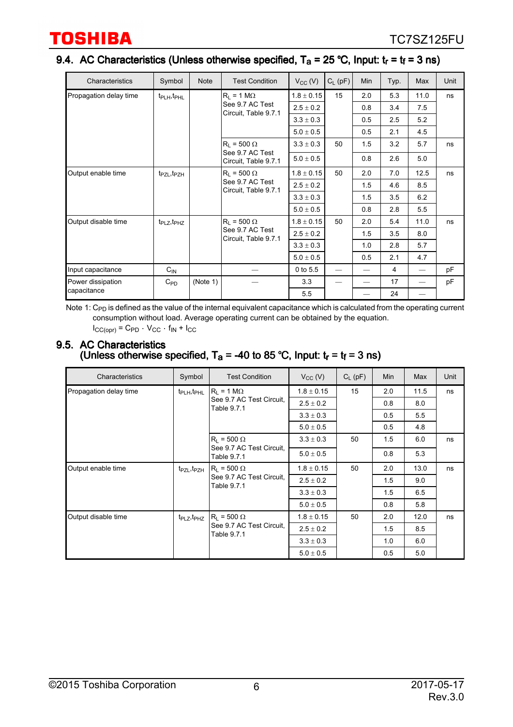## 9.4. AC Characteristics (Unless otherwise specified,  $T_a$  = 25 °C, Input:  $t_r$  =  $t_f$  = 3 ns)

| Characteristics        | Symbol                              | <b>Note</b> | <b>Test Condition</b>                   | $V_{CC}$ (V)   | $C_L$ (pF)               | Min | Typ. | Max  | Unit |
|------------------------|-------------------------------------|-------------|-----------------------------------------|----------------|--------------------------|-----|------|------|------|
| Propagation delay time | t <sub>PLH</sub> , t <sub>PHL</sub> |             | $R_1 = 1 M\Omega$                       | $1.8 \pm 0.15$ | 15                       | 2.0 | 5.3  | 11.0 | ns   |
|                        |                                     |             | See 9.7 AC Test                         | $2.5 \pm 0.2$  |                          | 0.8 | 3.4  | 7.5  |      |
|                        |                                     |             | Circuit, Table 9.7.1                    | $3.3 \pm 0.3$  |                          | 0.5 | 2.5  | 5.2  |      |
|                        |                                     |             |                                         | $5.0 \pm 0.5$  |                          | 0.5 | 2.1  | 4.5  |      |
|                        |                                     |             | $R_1 = 500 \Omega$                      | $3.3 \pm 0.3$  | 50                       | 1.5 | 3.2  | 5.7  | ns   |
|                        |                                     |             | See 9.7 AC Test<br>Circuit, Table 9.7.1 | $5.0 \pm 0.5$  |                          | 0.8 | 2.6  | 5.0  |      |
| Output enable time     | t <sub>PZL</sub> , t <sub>PZH</sub> |             | $R_1 = 500 \Omega$                      | $1.8 \pm 0.15$ | 50                       | 2.0 | 7.0  | 12.5 | ns   |
|                        |                                     |             | See 9.7 AC Test<br>Circuit, Table 9.7.1 | $2.5\pm0.2$    |                          | 1.5 | 4.6  | 8.5  |      |
|                        |                                     |             |                                         | $3.3 \pm 0.3$  |                          | 1.5 | 3.5  | 6.2  |      |
|                        |                                     |             |                                         | $5.0 \pm 0.5$  |                          | 0.8 | 2.8  | 5.5  |      |
| Output disable time    | $t_{\text{PLZ}}, t_{\text{PHZ}}$    |             | $R_1 = 500 \Omega$                      | $1.8 \pm 0.15$ | 50                       | 2.0 | 5.4  | 11.0 | ns   |
|                        |                                     |             | See 9.7 AC Test<br>Circuit, Table 9.7.1 | $2.5 \pm 0.2$  |                          | 1.5 | 3.5  | 8.0  |      |
|                        |                                     |             |                                         | $3.3 \pm 0.3$  |                          | 1.0 | 2.8  | 5.7  |      |
|                        |                                     |             |                                         | $5.0 \pm 0.5$  |                          | 0.5 | 2.1  | 4.7  |      |
| Input capacitance      | $C_{IN}$                            |             |                                         | 0 to 5.5       | $\overline{\phantom{0}}$ |     | 4    |      | рF   |
| Power dissipation      | $C_{\mathsf{PD}}$                   | (Note 1)    |                                         | 3.3            |                          |     | 17   |      | pF   |
| capacitance            |                                     |             |                                         | 5.5            |                          |     | 24   |      |      |

Note 1:  $\rm C_{PD}$  is defined as the value of the internal equivalent capacitance which is calculated from the operating current consumption without load. Average operating current can be obtained by the equation.  $I_{CC(ODr)} = C_{PD} \cdot V_{CC} \cdot f_{IN} + I_{CC}$ 

#### 9.5. AC Characteristics (Unless otherwise specified,  $T_a$  = -40 to 85 °C, Input:  $t_r$  =  $t_f$  = 3 ns)

| Characteristics        | Symbol                                                    | <b>Test Condition</b>                   | $V_{CC} (V)$   | $C_{L}$ (pF) | Min  | Max  | Unit |
|------------------------|-----------------------------------------------------------|-----------------------------------------|----------------|--------------|------|------|------|
| Propagation delay time | t <sub>PLH</sub> , t <sub>PHL</sub>                       | $ R_1 = 1 M\Omega$                      | $1.8 \pm 0.15$ | 15           | 2.0  | 11.5 | ns   |
|                        |                                                           | See 9.7 AC Test Circuit,<br>Table 9.7.1 | $2.5 \pm 0.2$  |              | 0.8  | 8.0  |      |
|                        |                                                           |                                         | $3.3 \pm 0.3$  |              | 0.5  | 5.5  |      |
|                        |                                                           | $5.0 \pm 0.5$                           |                | 0.5          | 4.8  |      |      |
|                        |                                                           | $R_L$ = 500 $\Omega$                    | $3.3 \pm 0.3$  | 50           | 1.5  | 6.0  | ns   |
|                        |                                                           | See 9.7 AC Test Circuit.<br>Table 9.7.1 | $5.0 \pm 0.5$  |              | 0.8  | 5.3  |      |
| Output enable time     | $R_1 = 500 \Omega$<br>t <sub>PZL</sub> , t <sub>PZH</sub> | $1.8 \pm 0.15$                          | 50             | 2.0          | 13.0 | ns   |      |
|                        |                                                           | See 9.7 AC Test Circuit,<br>Table 9.7.1 | $2.5 \pm 0.2$  |              | 1.5  | 9.0  |      |
|                        |                                                           |                                         | $3.3 \pm 0.3$  |              | 1.5  | 6.5  |      |
|                        |                                                           |                                         | $5.0 \pm 0.5$  |              | 0.8  | 5.8  |      |
| Output disable time    | t <sub>PLZ</sub> , t <sub>PHZ</sub>                       | $R_1 = 500 \Omega$                      | $1.8 \pm 0.15$ | 50           | 2.0  | 12.0 | ns   |
|                        | Table 9.7.1                                               | See 9.7 AC Test Circuit.                | $2.5 \pm 0.2$  |              | 1.5  | 8.5  |      |
|                        |                                                           |                                         | $3.3 \pm 0.3$  |              | 1.0  | 6.0  |      |
|                        |                                                           |                                         | $5.0 \pm 0.5$  |              | 0.5  | 5.0  |      |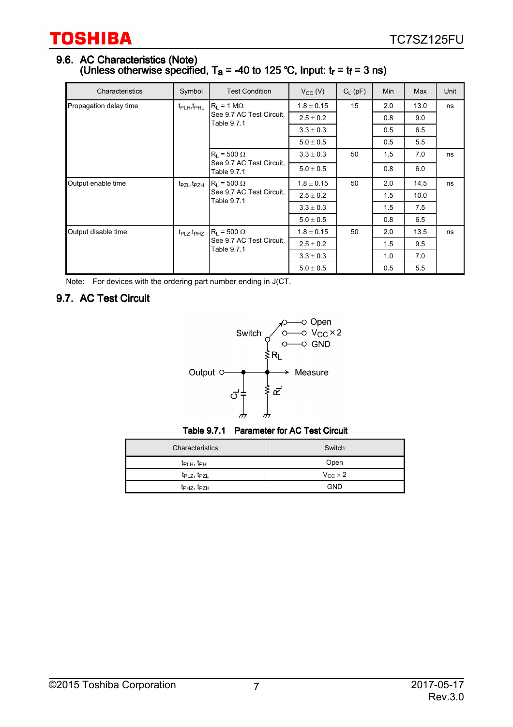#### 9.6. AC Characteristics (Note) (Unless otherwise specified, T<sub>a</sub> = -40 to 125 °C, Input:  $t_r$  =  $t_f$  = 3 ns)

| Characteristics        | Symbol                                                     | <b>Test Condition</b>                   | $V_{CC} (V)$   | $C_{L}$ (pF) | Min  | Max  | Unit |
|------------------------|------------------------------------------------------------|-----------------------------------------|----------------|--------------|------|------|------|
| Propagation delay time | t <sub>PLH</sub> , t <sub>PHL</sub>                        | $ R_1 = 1 M\Omega$                      | $1.8 \pm 0.15$ | 15           | 2.0  | 13.0 | ns   |
|                        |                                                            | See 9.7 AC Test Circuit.<br>Table 9.7.1 | $2.5 \pm 0.2$  |              | 0.8  | 9.0  |      |
|                        |                                                            |                                         | $3.3 \pm 0.3$  |              | 0.5  | 6.5  |      |
|                        |                                                            | $5.0 \pm 0.5$                           |                | 0.5          | 5.5  |      |      |
|                        |                                                            | $R_1 = 500 \Omega$                      | $3.3 \pm 0.3$  | 50           | 1.5  | 7.0  | ns   |
|                        | Table 9.7.1                                                | See 9.7 AC Test Circuit.                | $5.0 \pm 0.5$  |              | 0.8  | 6.0  |      |
| Output enable time     | $ R_1 = 500 \Omega$<br>t <sub>PZL</sub> , t <sub>PZH</sub> | $1.8 \pm 0.15$                          | 50             | 2.0          | 14.5 | ns   |      |
|                        |                                                            | See 9.7 AC Test Circuit.<br>Table 9.7.1 | $2.5 \pm 0.2$  |              | 1.5  | 10.0 |      |
|                        |                                                            |                                         | $3.3 \pm 0.3$  |              | 1.5  | 7.5  |      |
|                        |                                                            | $5.0 \pm 0.5$                           |                | 0.8          | 6.5  |      |      |
| Output disable time    | t <sub>PLZ</sub> , t <sub>PHZ</sub>                        | $ R_1 = 500 \Omega$                     | $1.8 \pm 0.15$ | 50           | 2.0  | 13.5 | ns   |
|                        | See 9.7 AC Test Circuit.<br>Table 9.7.1                    | $2.5 \pm 0.2$                           |                | 1.5          | 9.5  |      |      |
|                        |                                                            | $3.3 \pm 0.3$                           |                | 1.0          | 7.0  |      |      |
|                        |                                                            |                                         | $5.0 \pm 0.5$  |              | 0.5  | 5.5  |      |

Note: For devices with the ordering part number ending in J(CT.

# 9.7. AC Test Circuit



Table 9.7.1 Parameter for AC Test Circuit

| Characteristics                     | Switch              |
|-------------------------------------|---------------------|
| $t_{\text{PLH}}$ , $t_{\text{PHL}}$ | Open                |
| $t_{PLZ}$ , $t_{PZL}$               | $V_{CC}$ $\times$ 2 |
| $t_{\text{PHZ}}$ , $t_{\text{PZH}}$ | <b>GND</b>          |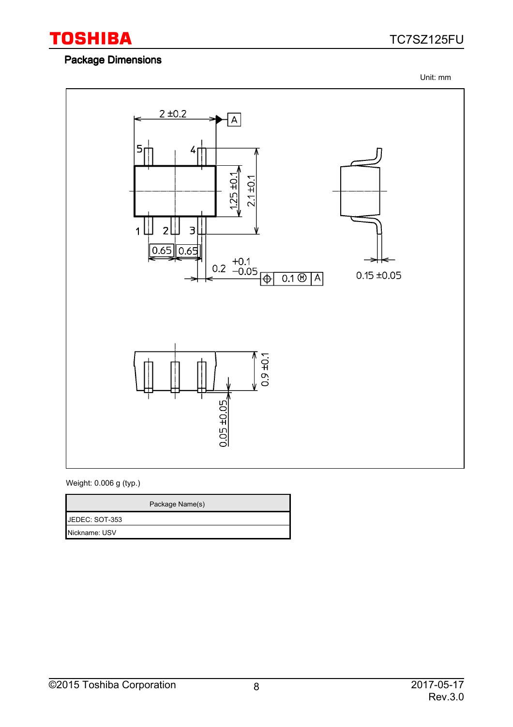

# Package Dimensions

TC7SZ125FU

Unit: mm



Weight: 0.006 g (typ.)

| Package Name(s) |
|-----------------|
| JEDEC: SOT-353  |
| Nickname: USV   |